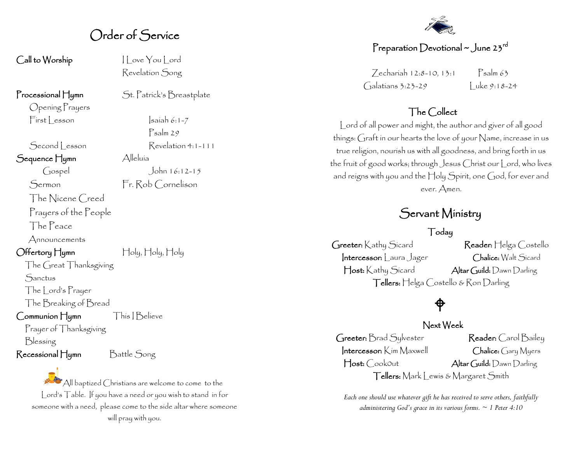## Order of Service

Call to Worship I Love You Lord

Opening Prayers  $First|$  esson  $|sailn 6:1-7$ 

Sequence Hymn Alleluía

The Nicene Creed

Prayers of the People

The Peace

Announcements

Offertory Hymn Holy, Holy, Holy

The Great Thanksgiving **Sanctus** 

The Lord's Prayer

The Breaking of Bread

Communion Hymn This | Believe

Prayer of Thanksgiving Blessing

Recessional Hymn Battle Song

All baptized Christians are welcome to come to the Lord's Table. If you have a need or you wish to stand in for someone with a need, please come to the side altar where someone will pray with you.

Revelation Song

Processional Hymn St. Patrick's Breastplate

Psalm 29 Second | esson Revelation 4:1-111

Gospel John 16:12-15 Sermon Fr. Rob Cornelison



#### Preparation Devotional ~ June 23 $^{\sf rd}$

Zechariah 12:8-10, 13:1 Psalm 63 Galatians 3:23-29 Luke 9:18-24

#### The Collect

Lord of all power and might, the author and giver of all good things: Graft in our hearts the love of your Name, increase in us true religion, nourish us with all goodness, and bring forth in us the fruit of good works; through Jesus Christ our Lord, who lives and reigns with you and the Holy Spirit, one God, for ever and ever. Amen.

### Servant Ministry

Today

Greeter: Kathy Sicard Reader: Helga Costello Intercessor: Laura Jager Chalice: Walt Sicard Host: Kathy Sicard Altar Guild: Dawn Darling Tellers: Helga Costello & Ron Darling

# $\bigoplus$

#### Next Week

Greeter: Brad Sylvester Reader: Carol Bailey Intercessor: Kim Maxwell Chalice: Gary Myers Host: CookOut Altar Guild: Dawn Darling Tellers: Mark Lewis & Margaret Smith

*Each one should use whatever gift he has received to serve others, faithfully administering God's grace in its various forms. ~ 1 Peter 4:10*